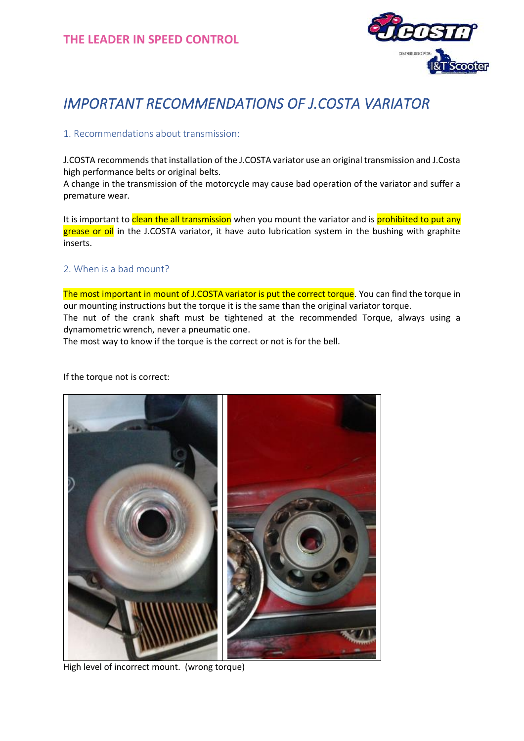

# *IMPORTANT RECOMMENDATIONS OF J.COSTA VARIATOR*

### 1. Recommendations about transmission:

J.COSTA recommends that installation of the J.COSTA variator use an original transmission and J.Costa high performance belts or original belts.

A change in the transmission of the motorcycle may cause bad operation of the variator and suffer a premature wear.

It is important to clean the all transmission when you mount the variator and is prohibited to put any grease or oil in the J.COSTA variator, it have auto lubrication system in the bushing with graphite inserts.

### 2. When is a bad mount?

The most important in mount of J.COSTA variator is put the correct torque. You can find the torque in our mounting instructions but the torque it is the same than the original variator torque. The nut of the crank shaft must be tightened at the recommended Torque, always using a dynamometric wrench, never a pneumatic one.

The most way to know if the torque is the correct or not is for the bell.

If the torque not is correct:



High level of incorrect mount. (wrong torque)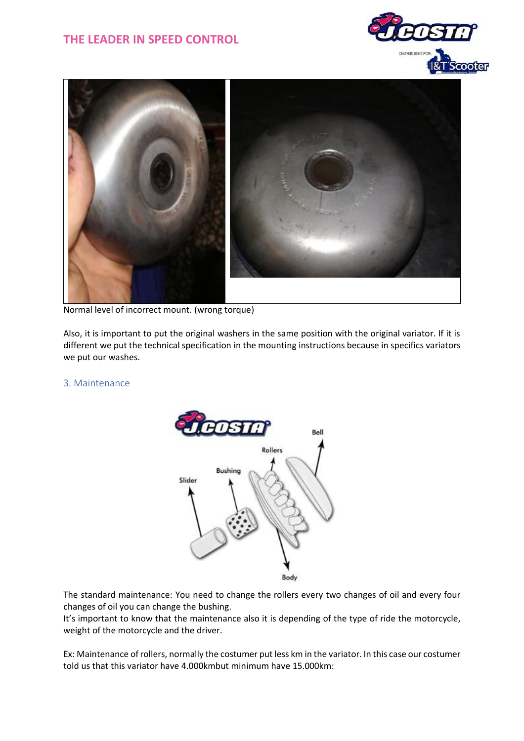# **THE LEADER IN SPEED CONTROL**





Normal level of incorrect mount. (wrong torque)

Also, it is important to put the original washers in the same position with the original variator. If it is different we put the technical specification in the mounting instructions because in specifics variators we put our washes.

#### 3. Maintenance



The standard maintenance: You need to change the rollers every two changes of oil and every four changes of oil you can change the bushing.

It's important to know that the maintenance also it is depending of the type of ride the motorcycle, weight of the motorcycle and the driver.

Ex: Maintenance of rollers, normally the costumer put less km in the variator. In this case our costumer told us that this variator have 4.000kmbut minimum have 15.000km: